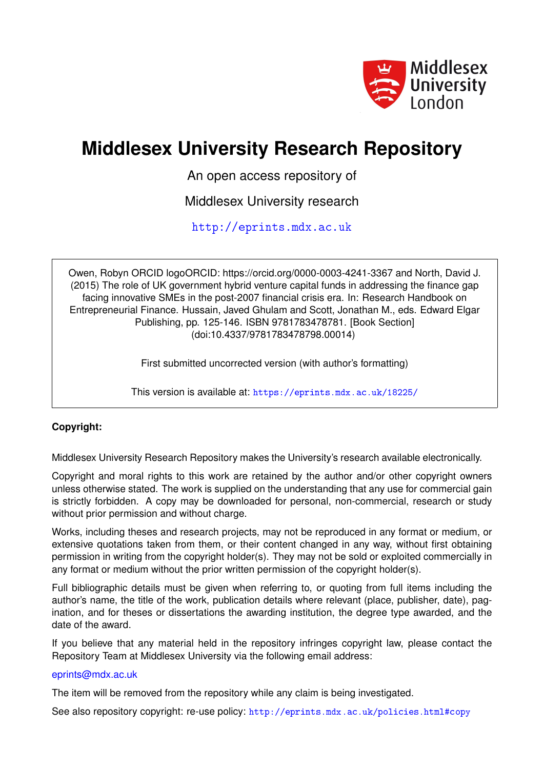

# **Middlesex University Research Repository**

An open access repository of

Middlesex University research

<http://eprints.mdx.ac.uk>

Owen, Robyn ORCID logoORCID: https://orcid.org/0000-0003-4241-3367 and North, David J. (2015) The role of UK government hybrid venture capital funds in addressing the finance gap facing innovative SMEs in the post-2007 financial crisis era. In: Research Handbook on Entrepreneurial Finance. Hussain, Javed Ghulam and Scott, Jonathan M., eds. Edward Elgar Publishing, pp. 125-146. ISBN 9781783478781. [Book Section] (doi:10.4337/9781783478798.00014)

First submitted uncorrected version (with author's formatting)

This version is available at: <https://eprints.mdx.ac.uk/18225/>

## **Copyright:**

Middlesex University Research Repository makes the University's research available electronically.

Copyright and moral rights to this work are retained by the author and/or other copyright owners unless otherwise stated. The work is supplied on the understanding that any use for commercial gain is strictly forbidden. A copy may be downloaded for personal, non-commercial, research or study without prior permission and without charge.

Works, including theses and research projects, may not be reproduced in any format or medium, or extensive quotations taken from them, or their content changed in any way, without first obtaining permission in writing from the copyright holder(s). They may not be sold or exploited commercially in any format or medium without the prior written permission of the copyright holder(s).

Full bibliographic details must be given when referring to, or quoting from full items including the author's name, the title of the work, publication details where relevant (place, publisher, date), pagination, and for theses or dissertations the awarding institution, the degree type awarded, and the date of the award.

If you believe that any material held in the repository infringes copyright law, please contact the Repository Team at Middlesex University via the following email address:

#### [eprints@mdx.ac.uk](mailto:eprints@mdx.ac.uk)

The item will be removed from the repository while any claim is being investigated.

See also repository copyright: re-use policy: <http://eprints.mdx.ac.uk/policies.html#copy>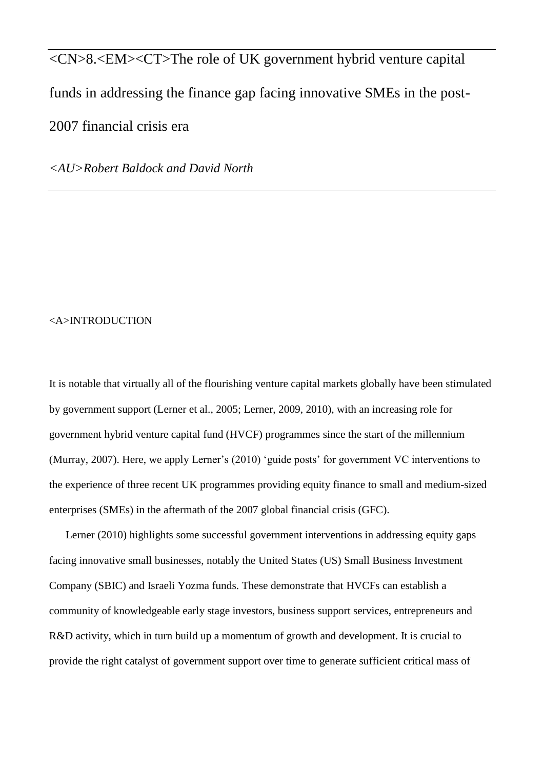<CN>8.<EM><CT>The role of UK government hybrid venture capital funds in addressing the finance gap facing innovative SMEs in the post-2007 financial crisis era

*<AU>Robert Baldock and David North*

#### <A>INTRODUCTION

It is notable that virtually all of the flourishing venture capital markets globally have been stimulated by government support (Lerner et al., 2005; Lerner, 2009, 2010), with an increasing role for government hybrid venture capital fund (HVCF) programmes since the start of the millennium (Murray, 2007). Here, we apply Lerner's (2010) 'guide posts' for government VC interventions to the experience of three recent UK programmes providing equity finance to small and medium-sized enterprises (SMEs) in the aftermath of the 2007 global financial crisis (GFC).

Lerner (2010) highlights some successful government interventions in addressing equity gaps facing innovative small businesses, notably the United States (US) Small Business Investment Company (SBIC) and Israeli Yozma funds. These demonstrate that HVCFs can establish a community of knowledgeable early stage investors, business support services, entrepreneurs and R&D activity, which in turn build up a momentum of growth and development. It is crucial to provide the right catalyst of government support over time to generate sufficient critical mass of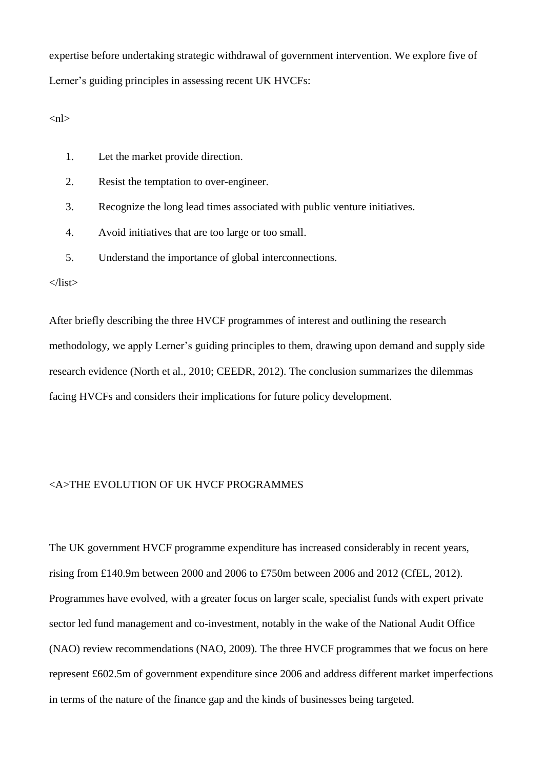expertise before undertaking strategic withdrawal of government intervention. We explore five of Lerner's guiding principles in assessing recent UK HVCFs:

 $\langle$ nl $\rangle$ 

- 1. Let the market provide direction.
- 2. Resist the temptation to over-engineer.
- 3. Recognize the long lead times associated with public venture initiatives.
- 4. Avoid initiatives that are too large or too small.
- 5. Understand the importance of global interconnections.

 $\langle$ list $\rangle$ 

After briefly describing the three HVCF programmes of interest and outlining the research methodology, we apply Lerner's guiding principles to them, drawing upon demand and supply side research evidence (North et al., 2010; CEEDR, 2012). The conclusion summarizes the dilemmas facing HVCFs and considers their implications for future policy development.

## <A>THE EVOLUTION OF UK HVCF PROGRAMMES

The UK government HVCF programme expenditure has increased considerably in recent years, rising from £140.9m between 2000 and 2006 to £750m between 2006 and 2012 (CfEL, 2012). Programmes have evolved, with a greater focus on larger scale, specialist funds with expert private sector led fund management and co-investment, notably in the wake of the National Audit Office (NAO) review recommendations (NAO, 2009). The three HVCF programmes that we focus on here represent £602.5m of government expenditure since 2006 and address different market imperfections in terms of the nature of the finance gap and the kinds of businesses being targeted.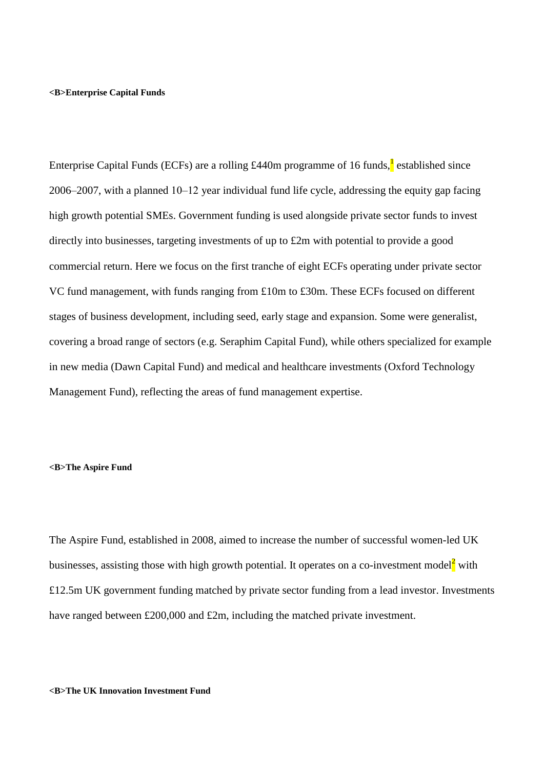#### **<B>Enterprise Capital Funds**

Enterprise Capital Funds (ECFs) are a rolling £440m programme of 16 funds, restablished since 2006‒2007, with a planned 10‒12 year individual fund life cycle, addressing the equity gap facing high growth potential SMEs. Government funding is used alongside private sector funds to invest directly into businesses, targeting investments of up to £2m with potential to provide a good commercial return. Here we focus on the first tranche of eight ECFs operating under private sector VC fund management, with funds ranging from £10m to £30m. These ECFs focused on different stages of business development, including seed, early stage and expansion. Some were generalist, covering a broad range of sectors (e.g. Seraphim Capital Fund), while others specialized for example in new media (Dawn Capital Fund) and medical and healthcare investments (Oxford Technology Management Fund), reflecting the areas of fund management expertise.

## **<B>The Aspire Fund**

The Aspire Fund, established in 2008, aimed to increase the number of successful women-led UK businesses, assisting those with high growth potential. It operates on a co-investment model with £12.5m UK government funding matched by private sector funding from a lead investor. Investments have ranged between £200,000 and £2m, including the matched private investment.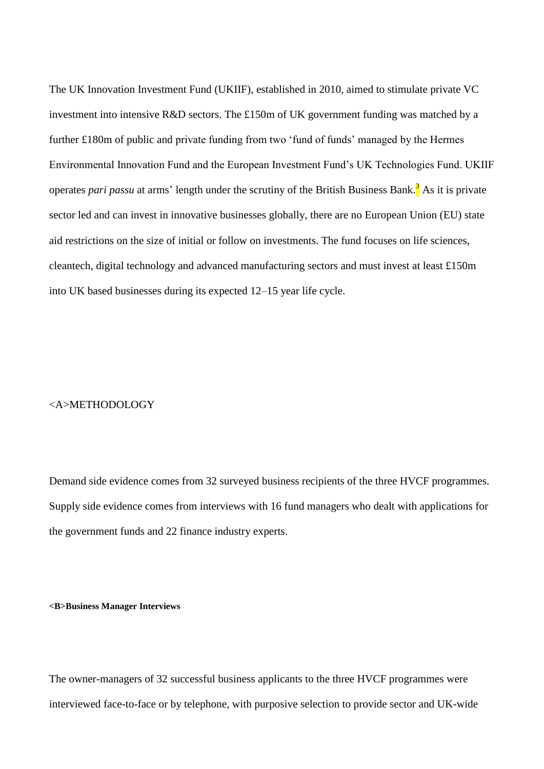The UK Innovation Investment Fund (UKIIF), established in 2010, aimed to stimulate private VC investment into intensive R&D sectors. The £150m of UK government funding was matched by a further £180m of public and private funding from two 'fund of funds' managed by the Hermes Environmental Innovation Fund and the European Investment Fund's UK Technologies Fund. UKIIF operates *pari passu* at arms' length under the scrutiny of the British Business Bank.<sup>3</sup> As it is private sector led and can invest in innovative businesses globally, there are no European Union (EU) state aid restrictions on the size of initial or follow on investments. The fund focuses on life sciences, cleantech, digital technology and advanced manufacturing sectors and must invest at least £150m into UK based businesses during its expected 12–15 year life cycle.

## <A>METHODOLOGY

Demand side evidence comes from 32 surveyed business recipients of the three HVCF programmes. Supply side evidence comes from interviews with 16 fund managers who dealt with applications for the government funds and 22 finance industry experts.

#### **<B>Business Manager Interviews**

The owner-managers of 32 successful business applicants to the three HVCF programmes were interviewed face-to-face or by telephone, with purposive selection to provide sector and UK-wide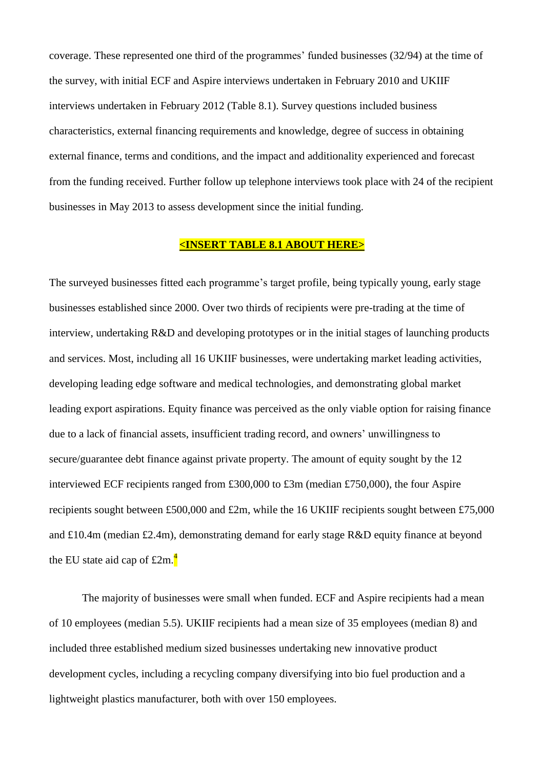coverage. These represented one third of the programmes' funded businesses (32/94) at the time of the survey, with initial ECF and Aspire interviews undertaken in February 2010 and UKIIF interviews undertaken in February 2012 (Table 8.1). Survey questions included business characteristics, external financing requirements and knowledge, degree of success in obtaining external finance, terms and conditions, and the impact and additionality experienced and forecast from the funding received. Further follow up telephone interviews took place with 24 of the recipient businesses in May 2013 to assess development since the initial funding.

## **<INSERT TABLE 8.1 ABOUT HERE>**

The surveyed businesses fitted each programme's target profile, being typically young, early stage businesses established since 2000. Over two thirds of recipients were pre-trading at the time of interview, undertaking R&D and developing prototypes or in the initial stages of launching products and services. Most, including all 16 UKIIF businesses, were undertaking market leading activities, developing leading edge software and medical technologies, and demonstrating global market leading export aspirations. Equity finance was perceived as the only viable option for raising finance due to a lack of financial assets, insufficient trading record, and owners' unwillingness to secure/guarantee debt finance against private property. The amount of equity sought by the 12 interviewed ECF recipients ranged from £300,000 to £3m (median £750,000), the four Aspire recipients sought between £500,000 and £2m, while the 16 UKIIF recipients sought between £75,000 and £10.4m (median £2.4m), demonstrating demand for early stage R&D equity finance at beyond the EU state aid cap of  $\pounds 2m$ .<sup>4</sup>

The majority of businesses were small when funded. ECF and Aspire recipients had a mean of 10 employees (median 5.5). UKIIF recipients had a mean size of 35 employees (median 8) and included three established medium sized businesses undertaking new innovative product development cycles, including a recycling company diversifying into bio fuel production and a lightweight plastics manufacturer, both with over 150 employees.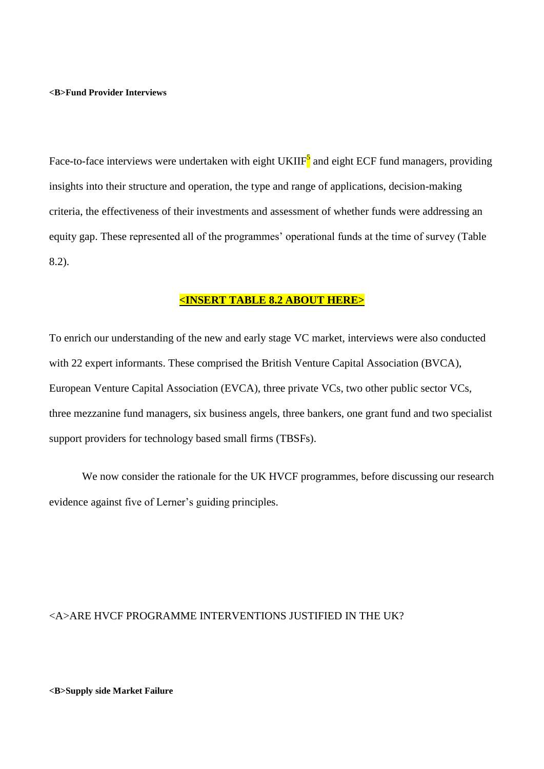#### **<B>Fund Provider Interviews**

Face-to-face interviews were undertaken with eight UKIIF<sup>5</sup> and eight ECF fund managers, providing insights into their structure and operation, the type and range of applications, decision-making criteria, the effectiveness of their investments and assessment of whether funds were addressing an equity gap. These represented all of the programmes' operational funds at the time of survey (Table 8.2).

## **<INSERT TABLE 8.2 ABOUT HERE>**

To enrich our understanding of the new and early stage VC market, interviews were also conducted with 22 expert informants. These comprised the British Venture Capital Association (BVCA), European Venture Capital Association (EVCA), three private VCs, two other public sector VCs, three mezzanine fund managers, six business angels, three bankers, one grant fund and two specialist support providers for technology based small firms (TBSFs).

We now consider the rationale for the UK HVCF programmes, before discussing our research evidence against five of Lerner's guiding principles.

## <A>ARE HVCF PROGRAMME INTERVENTIONS JUSTIFIED IN THE UK?

#### **<B>Supply side Market Failure**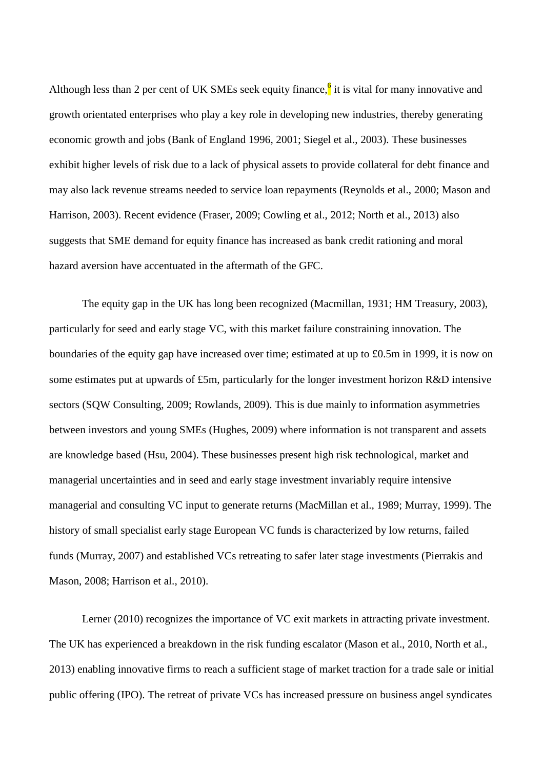Although less than 2 per cent of UK SMEs seek equity finance, it is vital for many innovative and growth orientated enterprises who play a key role in developing new industries, thereby generating economic growth and jobs (Bank of England 1996, 2001; Siegel et al., 2003). These businesses exhibit higher levels of risk due to a lack of physical assets to provide collateral for debt finance and may also lack revenue streams needed to service loan repayments (Reynolds et al., 2000; Mason and Harrison, 2003). Recent evidence (Fraser, 2009; Cowling et al., 2012; North et al., 2013) also suggests that SME demand for equity finance has increased as bank credit rationing and moral hazard aversion have accentuated in the aftermath of the GFC.

The equity gap in the UK has long been recognized (Macmillan, 1931; HM Treasury, 2003), particularly for seed and early stage VC, with this market failure constraining innovation. The boundaries of the equity gap have increased over time; estimated at up to £0.5m in 1999, it is now on some estimates put at upwards of £5m, particularly for the longer investment horizon R&D intensive sectors (SQW Consulting, 2009; Rowlands, 2009). This is due mainly to information asymmetries between investors and young SMEs (Hughes, 2009) where information is not transparent and assets are knowledge based (Hsu, 2004). These businesses present high risk technological, market and managerial uncertainties and in seed and early stage investment invariably require intensive managerial and consulting VC input to generate returns (MacMillan et al., 1989; Murray, 1999). The history of small specialist early stage European VC funds is characterized by low returns, failed funds (Murray, 2007) and established VCs retreating to safer later stage investments (Pierrakis and Mason, 2008; Harrison et al., 2010).

Lerner (2010) recognizes the importance of VC exit markets in attracting private investment. The UK has experienced a breakdown in the risk funding escalator (Mason et al., 2010, North et al., 2013) enabling innovative firms to reach a sufficient stage of market traction for a trade sale or initial public offering (IPO). The retreat of private VCs has increased pressure on business angel syndicates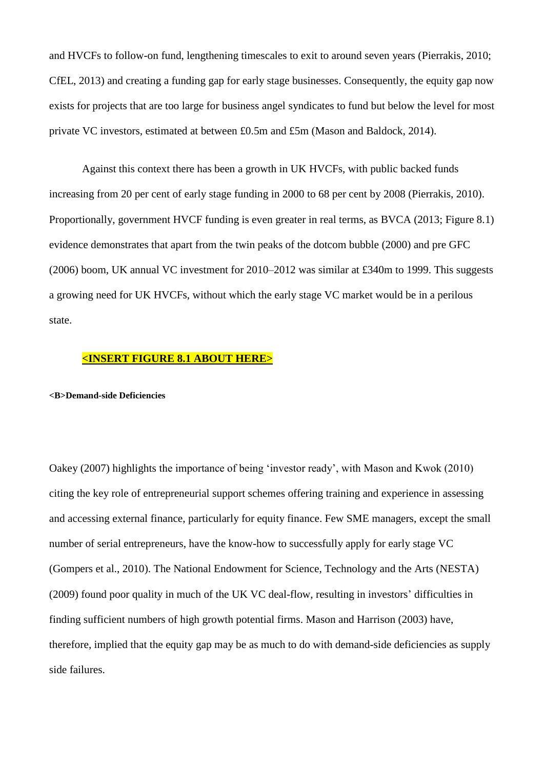and HVCFs to follow-on fund, lengthening timescales to exit to around seven years (Pierrakis, 2010; CfEL, 2013) and creating a funding gap for early stage businesses. Consequently, the equity gap now exists for projects that are too large for business angel syndicates to fund but below the level for most private VC investors, estimated at between £0.5m and £5m (Mason and Baldock, 2014).

Against this context there has been a growth in UK HVCFs, with public backed funds increasing from 20 per cent of early stage funding in 2000 to 68 per cent by 2008 (Pierrakis, 2010). Proportionally, government HVCF funding is even greater in real terms, as BVCA (2013; Figure 8.1) evidence demonstrates that apart from the twin peaks of the dotcom bubble (2000) and pre GFC (2006) boom, UK annual VC investment for 2010‒2012 was similar at £340m to 1999. This suggests a growing need for UK HVCFs, without which the early stage VC market would be in a perilous state.

## **<INSERT FIGURE 8.1 ABOUT HERE>**

#### **<B>Demand-side Deficiencies**

Oakey (2007) highlights the importance of being 'investor ready', with Mason and Kwok (2010) citing the key role of entrepreneurial support schemes offering training and experience in assessing and accessing external finance, particularly for equity finance. Few SME managers, except the small number of serial entrepreneurs, have the know-how to successfully apply for early stage VC (Gompers et al., 2010). The National Endowment for Science, Technology and the Arts (NESTA) (2009) found poor quality in much of the UK VC deal-flow, resulting in investors' difficulties in finding sufficient numbers of high growth potential firms. Mason and Harrison (2003) have, therefore, implied that the equity gap may be as much to do with demand-side deficiencies as supply side failures.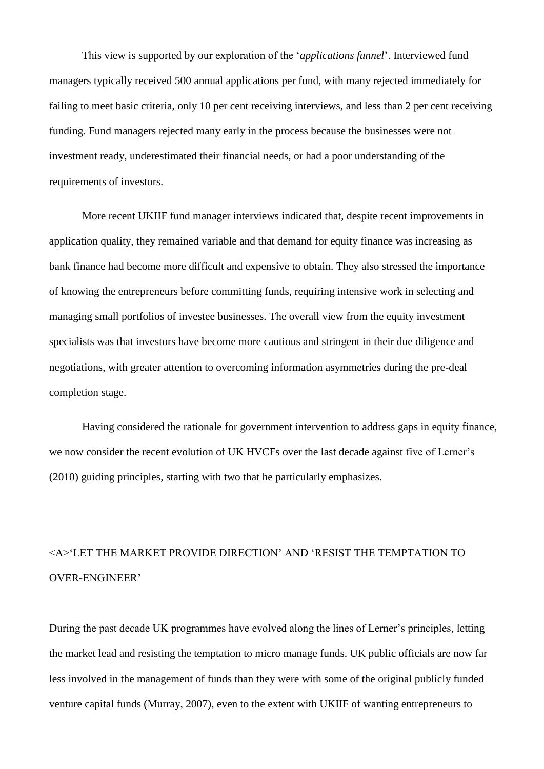This view is supported by our exploration of the '*applications funnel*'. Interviewed fund managers typically received 500 annual applications per fund, with many rejected immediately for failing to meet basic criteria, only 10 per cent receiving interviews, and less than 2 per cent receiving funding. Fund managers rejected many early in the process because the businesses were not investment ready, underestimated their financial needs, or had a poor understanding of the requirements of investors.

More recent UKIIF fund manager interviews indicated that, despite recent improvements in application quality, they remained variable and that demand for equity finance was increasing as bank finance had become more difficult and expensive to obtain. They also stressed the importance of knowing the entrepreneurs before committing funds, requiring intensive work in selecting and managing small portfolios of investee businesses. The overall view from the equity investment specialists was that investors have become more cautious and stringent in their due diligence and negotiations, with greater attention to overcoming information asymmetries during the pre-deal completion stage.

Having considered the rationale for government intervention to address gaps in equity finance, we now consider the recent evolution of UK HVCFs over the last decade against five of Lerner's (2010) guiding principles, starting with two that he particularly emphasizes.

## <A>'LET THE MARKET PROVIDE DIRECTION' AND 'RESIST THE TEMPTATION TO OVER-ENGINEER'

During the past decade UK programmes have evolved along the lines of Lerner's principles, letting the market lead and resisting the temptation to micro manage funds. UK public officials are now far less involved in the management of funds than they were with some of the original publicly funded venture capital funds (Murray, 2007), even to the extent with UKIIF of wanting entrepreneurs to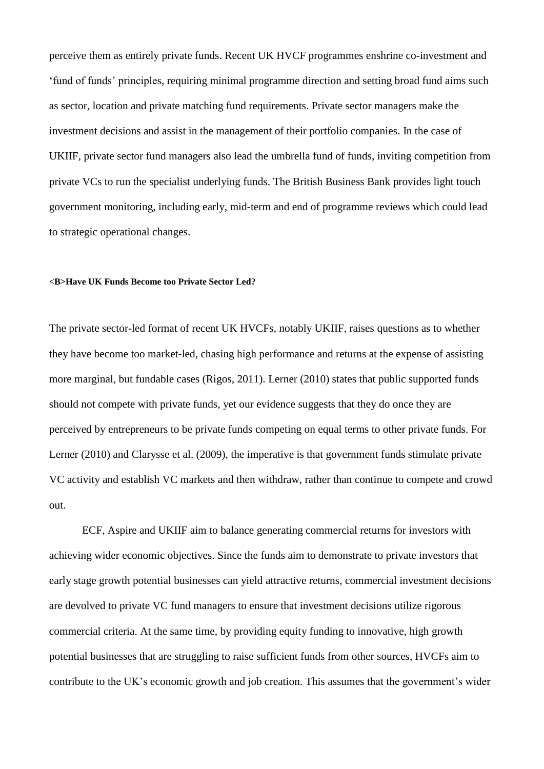perceive them as entirely private funds. Recent UK HVCF programmes enshrine co-investment and 'fund of funds' principles, requiring minimal programme direction and setting broad fund aims such as sector, location and private matching fund requirements. Private sector managers make the investment decisions and assist in the management of their portfolio companies. In the case of UKIIF, private sector fund managers also lead the umbrella fund of funds, inviting competition from private VCs to run the specialist underlying funds. The British Business Bank provides light touch government monitoring, including early, mid-term and end of programme reviews which could lead to strategic operational changes.

#### **<B>Have UK Funds Become too Private Sector Led?**

The private sector-led format of recent UK HVCFs, notably UKIIF, raises questions as to whether they have become too market-led, chasing high performance and returns at the expense of assisting more marginal, but fundable cases (Rigos, 2011). Lerner (2010) states that public supported funds should not compete with private funds, yet our evidence suggests that they do once they are perceived by entrepreneurs to be private funds competing on equal terms to other private funds. For Lerner (2010) and Clarysse et al. (2009), the imperative is that government funds stimulate private VC activity and establish VC markets and then withdraw, rather than continue to compete and crowd out.

ECF, Aspire and UKIIF aim to balance generating commercial returns for investors with achieving wider economic objectives. Since the funds aim to demonstrate to private investors that early stage growth potential businesses can yield attractive returns, commercial investment decisions are devolved to private VC fund managers to ensure that investment decisions utilize rigorous commercial criteria. At the same time, by providing equity funding to innovative, high growth potential businesses that are struggling to raise sufficient funds from other sources, HVCFs aim to contribute to the UK's economic growth and job creation. This assumes that the government's wider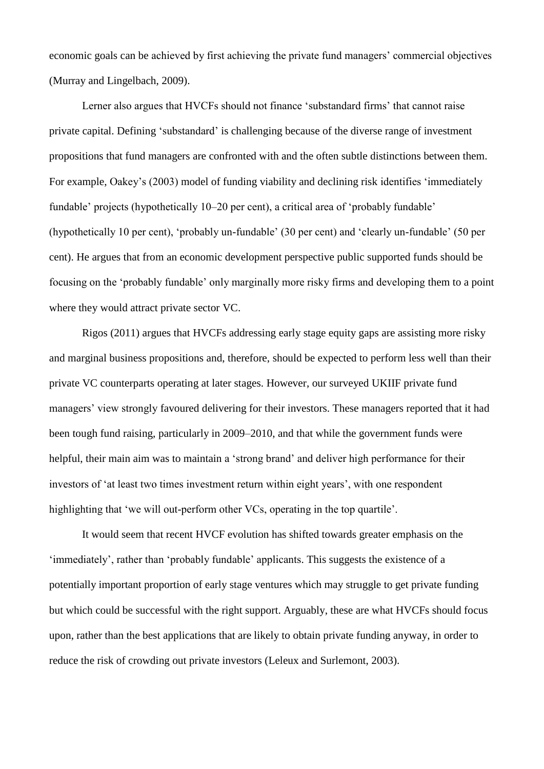economic goals can be achieved by first achieving the private fund managers' commercial objectives (Murray and Lingelbach, 2009).

Lerner also argues that HVCFs should not finance 'substandard firms' that cannot raise private capital. Defining 'substandard' is challenging because of the diverse range of investment propositions that fund managers are confronted with and the often subtle distinctions between them. For example, Oakey's (2003) model of funding viability and declining risk identifies 'immediately fundable' projects (hypothetically 10–20 per cent), a critical area of 'probably fundable' (hypothetically 10 per cent), 'probably un-fundable' (30 per cent) and 'clearly un-fundable' (50 per cent). He argues that from an economic development perspective public supported funds should be focusing on the 'probably fundable' only marginally more risky firms and developing them to a point where they would attract private sector VC.

Rigos (2011) argues that HVCFs addressing early stage equity gaps are assisting more risky and marginal business propositions and, therefore, should be expected to perform less well than their private VC counterparts operating at later stages. However, our surveyed UKIIF private fund managers' view strongly favoured delivering for their investors. These managers reported that it had been tough fund raising, particularly in 2009–2010, and that while the government funds were helpful, their main aim was to maintain a 'strong brand' and deliver high performance for their investors of 'at least two times investment return within eight years', with one respondent highlighting that 'we will out-perform other VCs, operating in the top quartile'.

It would seem that recent HVCF evolution has shifted towards greater emphasis on the 'immediately', rather than 'probably fundable' applicants. This suggests the existence of a potentially important proportion of early stage ventures which may struggle to get private funding but which could be successful with the right support. Arguably, these are what HVCFs should focus upon, rather than the best applications that are likely to obtain private funding anyway, in order to reduce the risk of crowding out private investors (Leleux and Surlemont, 2003).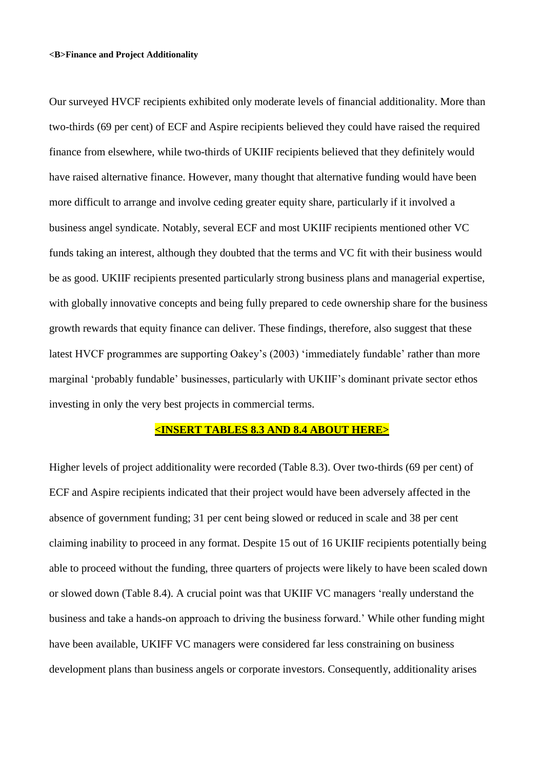#### **<B>Finance and Project Additionality**

Our surveyed HVCF recipients exhibited only moderate levels of financial additionality. More than two-thirds (69 per cent) of ECF and Aspire recipients believed they could have raised the required finance from elsewhere, while two-thirds of UKIIF recipients believed that they definitely would have raised alternative finance. However, many thought that alternative funding would have been more difficult to arrange and involve ceding greater equity share, particularly if it involved a business angel syndicate. Notably, several ECF and most UKIIF recipients mentioned other VC funds taking an interest, although they doubted that the terms and VC fit with their business would be as good. UKIIF recipients presented particularly strong business plans and managerial expertise, with globally innovative concepts and being fully prepared to cede ownership share for the business growth rewards that equity finance can deliver. These findings, therefore, also suggest that these latest HVCF programmes are supporting Oakey's (2003) 'immediately fundable' rather than more marginal 'probably fundable' businesses, particularly with UKIIF's dominant private sector ethos investing in only the very best projects in commercial terms.

## **<INSERT TABLES 8.3 AND 8.4 ABOUT HERE>**

Higher levels of project additionality were recorded (Table 8.3). Over two-thirds (69 per cent) of ECF and Aspire recipients indicated that their project would have been adversely affected in the absence of government funding; 31 per cent being slowed or reduced in scale and 38 per cent claiming inability to proceed in any format. Despite 15 out of 16 UKIIF recipients potentially being able to proceed without the funding, three quarters of projects were likely to have been scaled down or slowed down (Table 8.4). A crucial point was that UKIIF VC managers 'really understand the business and take a hands-on approach to driving the business forward.' While other funding might have been available, UKIFF VC managers were considered far less constraining on business development plans than business angels or corporate investors. Consequently, additionality arises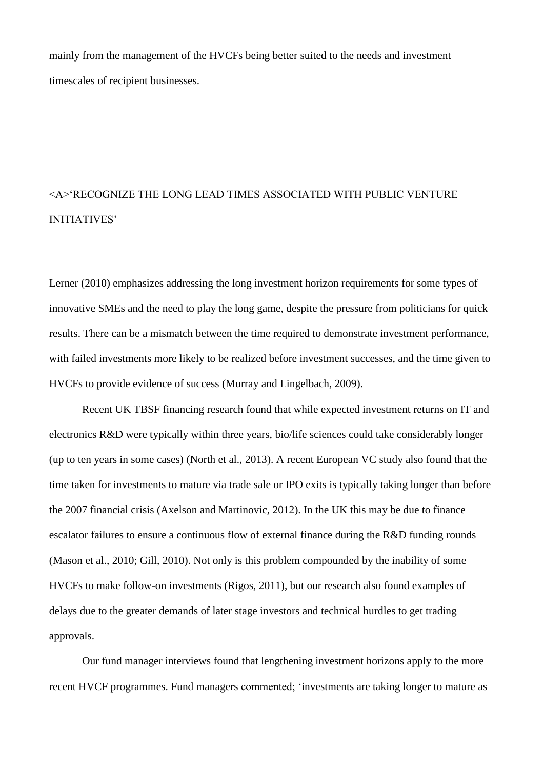mainly from the management of the HVCFs being better suited to the needs and investment timescales of recipient businesses.

## <A>'RECOGNIZE THE LONG LEAD TIMES ASSOCIATED WITH PUBLIC VENTURE INITIATIVES'

Lerner (2010) emphasizes addressing the long investment horizon requirements for some types of innovative SMEs and the need to play the long game, despite the pressure from politicians for quick results. There can be a mismatch between the time required to demonstrate investment performance, with failed investments more likely to be realized before investment successes, and the time given to HVCFs to provide evidence of success (Murray and Lingelbach, 2009).

Recent UK TBSF financing research found that while expected investment returns on IT and electronics R&D were typically within three years, bio/life sciences could take considerably longer (up to ten years in some cases) (North et al., 2013). A recent European VC study also found that the time taken for investments to mature via trade sale or IPO exits is typically taking longer than before the 2007 financial crisis (Axelson and Martinovic, 2012). In the UK this may be due to finance escalator failures to ensure a continuous flow of external finance during the R&D funding rounds (Mason et al., 2010; Gill, 2010). Not only is this problem compounded by the inability of some HVCFs to make follow-on investments (Rigos, 2011), but our research also found examples of delays due to the greater demands of later stage investors and technical hurdles to get trading approvals.

Our fund manager interviews found that lengthening investment horizons apply to the more recent HVCF programmes. Fund managers commented; 'investments are taking longer to mature as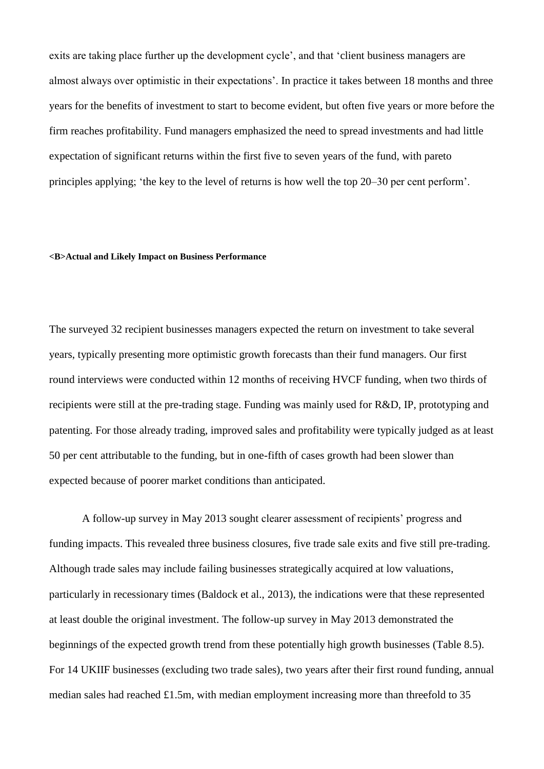exits are taking place further up the development cycle', and that 'client business managers are almost always over optimistic in their expectations'. In practice it takes between 18 months and three years for the benefits of investment to start to become evident, but often five years or more before the firm reaches profitability. Fund managers emphasized the need to spread investments and had little expectation of significant returns within the first five to seven years of the fund, with pareto principles applying; 'the key to the level of returns is how well the top 20‒30 per cent perform'.

#### **<B>Actual and Likely Impact on Business Performance**

The surveyed 32 recipient businesses managers expected the return on investment to take several years, typically presenting more optimistic growth forecasts than their fund managers. Our first round interviews were conducted within 12 months of receiving HVCF funding, when two thirds of recipients were still at the pre-trading stage. Funding was mainly used for R&D, IP, prototyping and patenting. For those already trading, improved sales and profitability were typically judged as at least 50 per cent attributable to the funding, but in one-fifth of cases growth had been slower than expected because of poorer market conditions than anticipated.

A follow-up survey in May 2013 sought clearer assessment of recipients' progress and funding impacts. This revealed three business closures, five trade sale exits and five still pre-trading. Although trade sales may include failing businesses strategically acquired at low valuations, particularly in recessionary times (Baldock et al., 2013), the indications were that these represented at least double the original investment. The follow-up survey in May 2013 demonstrated the beginnings of the expected growth trend from these potentially high growth businesses (Table 8.5). For 14 UKIIF businesses (excluding two trade sales), two years after their first round funding, annual median sales had reached £1.5m, with median employment increasing more than threefold to 35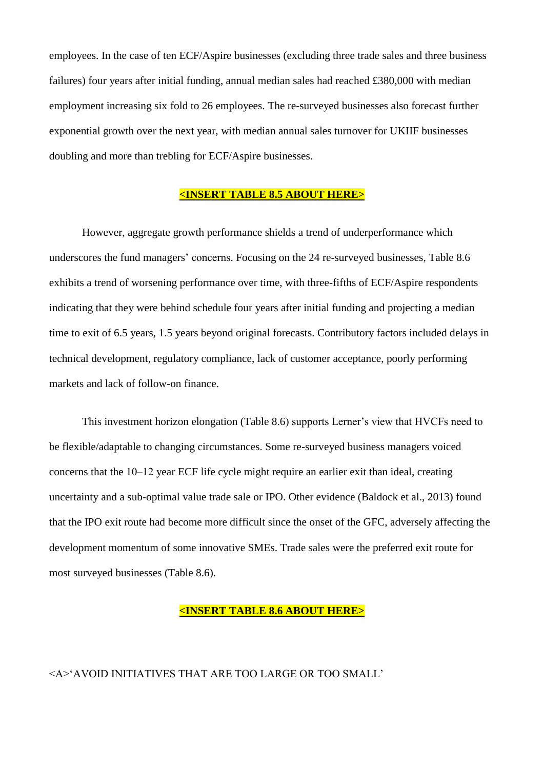employees. In the case of ten ECF/Aspire businesses (excluding three trade sales and three business failures) four years after initial funding, annual median sales had reached £380,000 with median employment increasing six fold to 26 employees. The re-surveyed businesses also forecast further exponential growth over the next year, with median annual sales turnover for UKIIF businesses doubling and more than trebling for ECF/Aspire businesses.

## **<INSERT TABLE 8.5 ABOUT HERE>**

However, aggregate growth performance shields a trend of underperformance which underscores the fund managers' concerns. Focusing on the 24 re-surveyed businesses, Table 8.6 exhibits a trend of worsening performance over time, with three-fifths of ECF/Aspire respondents indicating that they were behind schedule four years after initial funding and projecting a median time to exit of 6.5 years, 1.5 years beyond original forecasts. Contributory factors included delays in technical development, regulatory compliance, lack of customer acceptance, poorly performing markets and lack of follow-on finance.

This investment horizon elongation (Table 8.6) supports Lerner's view that HVCFs need to be flexible/adaptable to changing circumstances. Some re-surveyed business managers voiced concerns that the 10–12 year ECF life cycle might require an earlier exit than ideal, creating uncertainty and a sub-optimal value trade sale or IPO. Other evidence (Baldock et al., 2013) found that the IPO exit route had become more difficult since the onset of the GFC, adversely affecting the development momentum of some innovative SMEs. Trade sales were the preferred exit route for most surveyed businesses (Table 8.6).

## **<INSERT TABLE 8.6 ABOUT HERE>**

## <A>'AVOID INITIATIVES THAT ARE TOO LARGE OR TOO SMALL'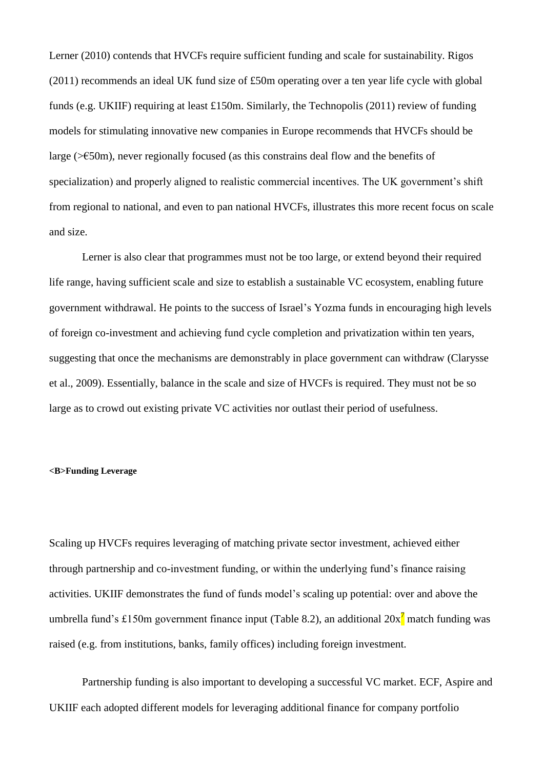Lerner (2010) contends that HVCFs require sufficient funding and scale for sustainability. Rigos (2011) recommends an ideal UK fund size of £50m operating over a ten year life cycle with global funds (e.g. UKIIF) requiring at least £150m. Similarly, the Technopolis (2011) review of funding models for stimulating innovative new companies in Europe recommends that HVCFs should be large ( $\geq 50$ m), never regionally focused (as this constrains deal flow and the benefits of specialization) and properly aligned to realistic commercial incentives. The UK government's shift from regional to national, and even to pan national HVCFs, illustrates this more recent focus on scale and size.

Lerner is also clear that programmes must not be too large, or extend beyond their required life range, having sufficient scale and size to establish a sustainable VC ecosystem, enabling future government withdrawal. He points to the success of Israel's Yozma funds in encouraging high levels of foreign co-investment and achieving fund cycle completion and privatization within ten years, suggesting that once the mechanisms are demonstrably in place government can withdraw (Clarysse et al., 2009). Essentially, balance in the scale and size of HVCFs is required. They must not be so large as to crowd out existing private VC activities nor outlast their period of usefulness.

#### **<B>Funding Leverage**

Scaling up HVCFs requires leveraging of matching private sector investment, achieved either through partnership and co-investment funding, or within the underlying fund's finance raising activities. UKIIF demonstrates the fund of funds model's scaling up potential: over and above the umbrella fund's £150m government finance input (Table 8.2), an additional  $20x<sup>7</sup>$  match funding was raised (e.g. from institutions, banks, family offices) including foreign investment.

Partnership funding is also important to developing a successful VC market. ECF, Aspire and UKIIF each adopted different models for leveraging additional finance for company portfolio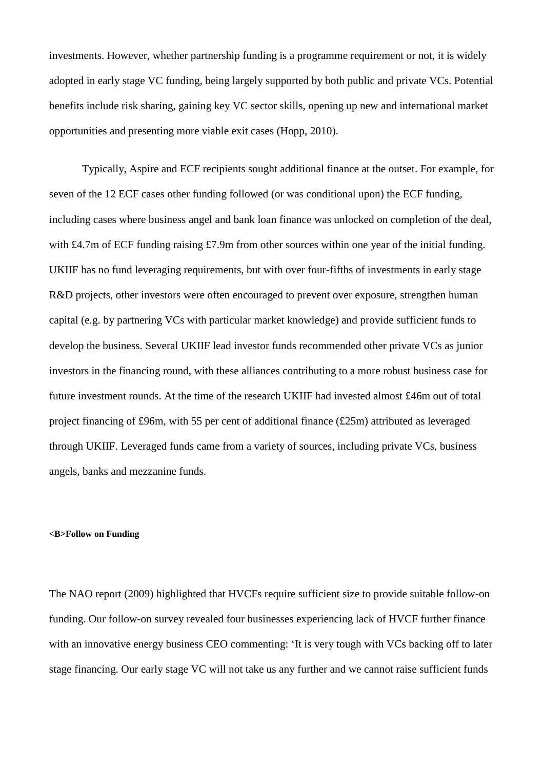investments. However, whether partnership funding is a programme requirement or not, it is widely adopted in early stage VC funding, being largely supported by both public and private VCs. Potential benefits include risk sharing, gaining key VC sector skills, opening up new and international market opportunities and presenting more viable exit cases (Hopp, 2010).

Typically, Aspire and ECF recipients sought additional finance at the outset. For example, for seven of the 12 ECF cases other funding followed (or was conditional upon) the ECF funding, including cases where business angel and bank loan finance was unlocked on completion of the deal, with £4.7m of ECF funding raising £7.9m from other sources within one year of the initial funding. UKIIF has no fund leveraging requirements, but with over four-fifths of investments in early stage R&D projects, other investors were often encouraged to prevent over exposure, strengthen human capital (e.g. by partnering VCs with particular market knowledge) and provide sufficient funds to develop the business. Several UKIIF lead investor funds recommended other private VCs as junior investors in the financing round, with these alliances contributing to a more robust business case for future investment rounds. At the time of the research UKIIF had invested almost £46m out of total project financing of £96m, with 55 per cent of additional finance (£25m) attributed as leveraged through UKIIF. Leveraged funds came from a variety of sources, including private VCs, business angels, banks and mezzanine funds.

#### **<B>Follow on Funding**

The NAO report (2009) highlighted that HVCFs require sufficient size to provide suitable follow-on funding. Our follow-on survey revealed four businesses experiencing lack of HVCF further finance with an innovative energy business CEO commenting: 'It is very tough with VCs backing off to later stage financing. Our early stage VC will not take us any further and we cannot raise sufficient funds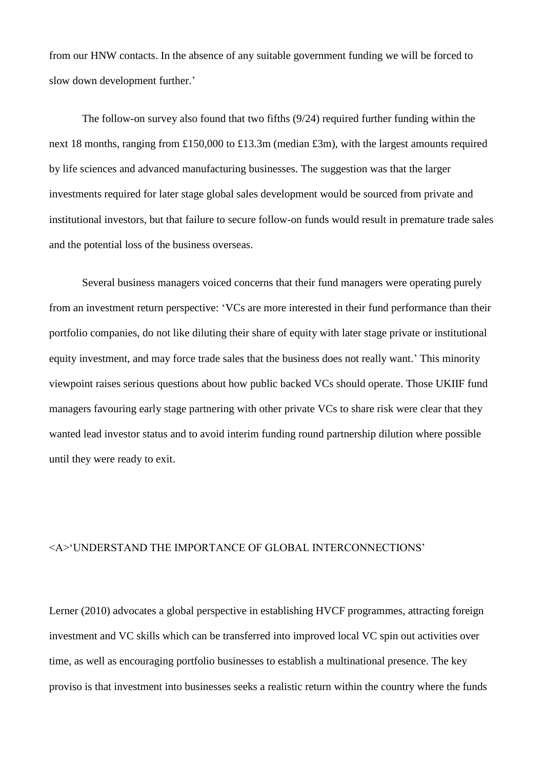from our HNW contacts. In the absence of any suitable government funding we will be forced to slow down development further.'

The follow-on survey also found that two fifths (9/24) required further funding within the next 18 months, ranging from £150,000 to £13.3m (median £3m), with the largest amounts required by life sciences and advanced manufacturing businesses. The suggestion was that the larger investments required for later stage global sales development would be sourced from private and institutional investors, but that failure to secure follow-on funds would result in premature trade sales and the potential loss of the business overseas.

Several business managers voiced concerns that their fund managers were operating purely from an investment return perspective: 'VCs are more interested in their fund performance than their portfolio companies, do not like diluting their share of equity with later stage private or institutional equity investment, and may force trade sales that the business does not really want.' This minority viewpoint raises serious questions about how public backed VCs should operate. Those UKIIF fund managers favouring early stage partnering with other private VCs to share risk were clear that they wanted lead investor status and to avoid interim funding round partnership dilution where possible until they were ready to exit.

## <A>'UNDERSTAND THE IMPORTANCE OF GLOBAL INTERCONNECTIONS'

Lerner (2010) advocates a global perspective in establishing HVCF programmes, attracting foreign investment and VC skills which can be transferred into improved local VC spin out activities over time, as well as encouraging portfolio businesses to establish a multinational presence. The key proviso is that investment into businesses seeks a realistic return within the country where the funds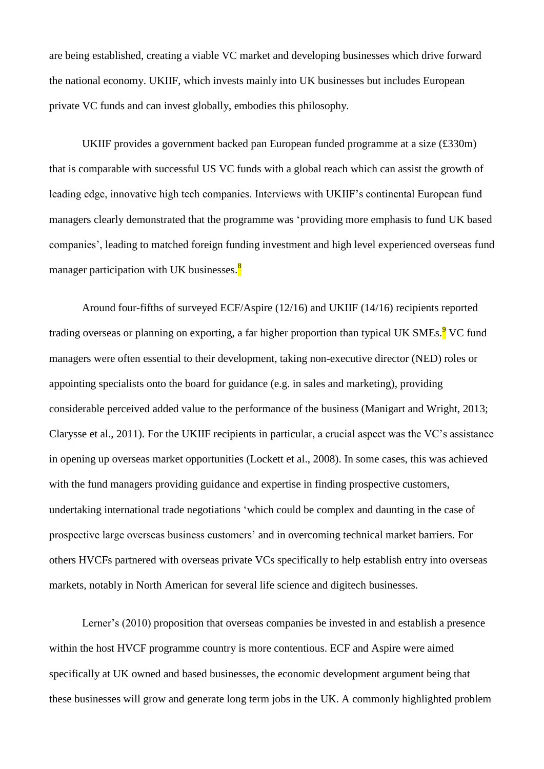are being established, creating a viable VC market and developing businesses which drive forward the national economy. UKIIF, which invests mainly into UK businesses but includes European private VC funds and can invest globally, embodies this philosophy.

UKIIF provides a government backed pan European funded programme at a size (£330m) that is comparable with successful US VC funds with a global reach which can assist the growth of leading edge, innovative high tech companies. Interviews with UKIIF's continental European fund managers clearly demonstrated that the programme was 'providing more emphasis to fund UK based companies', leading to matched foreign funding investment and high level experienced overseas fund manager participation with UK businesses. $\frac{8}{3}$ 

Around four-fifths of surveyed ECF/Aspire (12/16) and UKIIF (14/16) recipients reported trading overseas or planning on exporting, a far higher proportion than typical UK SMEs.<sup>9</sup> VC fund managers were often essential to their development, taking non-executive director (NED) roles or appointing specialists onto the board for guidance (e.g. in sales and marketing), providing considerable perceived added value to the performance of the business (Manigart and Wright, 2013; Clarysse et al., 2011). For the UKIIF recipients in particular, a crucial aspect was the VC's assistance in opening up overseas market opportunities (Lockett et al., 2008). In some cases, this was achieved with the fund managers providing guidance and expertise in finding prospective customers, undertaking international trade negotiations 'which could be complex and daunting in the case of prospective large overseas business customers' and in overcoming technical market barriers. For others HVCFs partnered with overseas private VCs specifically to help establish entry into overseas markets, notably in North American for several life science and digitech businesses.

Lerner's (2010) proposition that overseas companies be invested in and establish a presence within the host HVCF programme country is more contentious. ECF and Aspire were aimed specifically at UK owned and based businesses, the economic development argument being that these businesses will grow and generate long term jobs in the UK. A commonly highlighted problem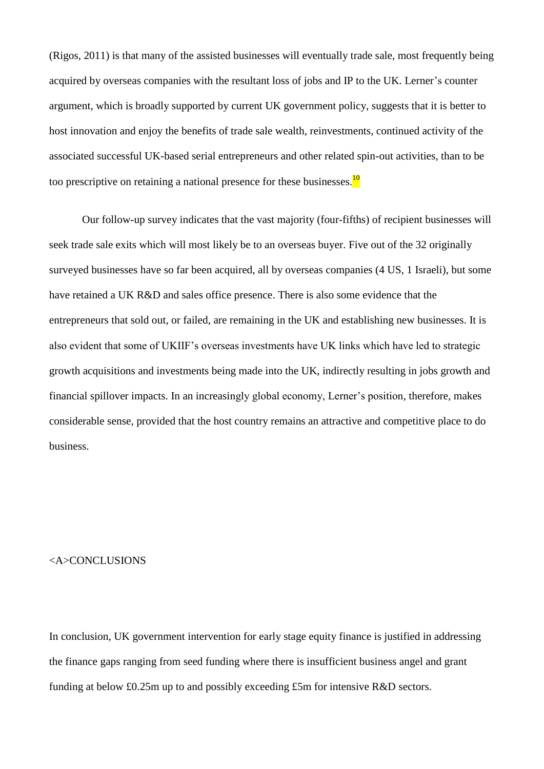(Rigos, 2011) is that many of the assisted businesses will eventually trade sale, most frequently being acquired by overseas companies with the resultant loss of jobs and IP to the UK. Lerner's counter argument, which is broadly supported by current UK government policy, suggests that it is better to host innovation and enjoy the benefits of trade sale wealth, reinvestments, continued activity of the associated successful UK-based serial entrepreneurs and other related spin-out activities, than to be too prescriptive on retaining a national presence for these businesses.<sup>10</sup>

Our follow-up survey indicates that the vast majority (four-fifths) of recipient businesses will seek trade sale exits which will most likely be to an overseas buyer. Five out of the 32 originally surveyed businesses have so far been acquired, all by overseas companies (4 US, 1 Israeli), but some have retained a UK R&D and sales office presence. There is also some evidence that the entrepreneurs that sold out, or failed, are remaining in the UK and establishing new businesses. It is also evident that some of UKIIF's overseas investments have UK links which have led to strategic growth acquisitions and investments being made into the UK, indirectly resulting in jobs growth and financial spillover impacts. In an increasingly global economy, Lerner's position, therefore, makes considerable sense, provided that the host country remains an attractive and competitive place to do business.

#### <A>CONCLUSIONS

In conclusion, UK government intervention for early stage equity finance is justified in addressing the finance gaps ranging from seed funding where there is insufficient business angel and grant funding at below £0.25m up to and possibly exceeding £5m for intensive R&D sectors.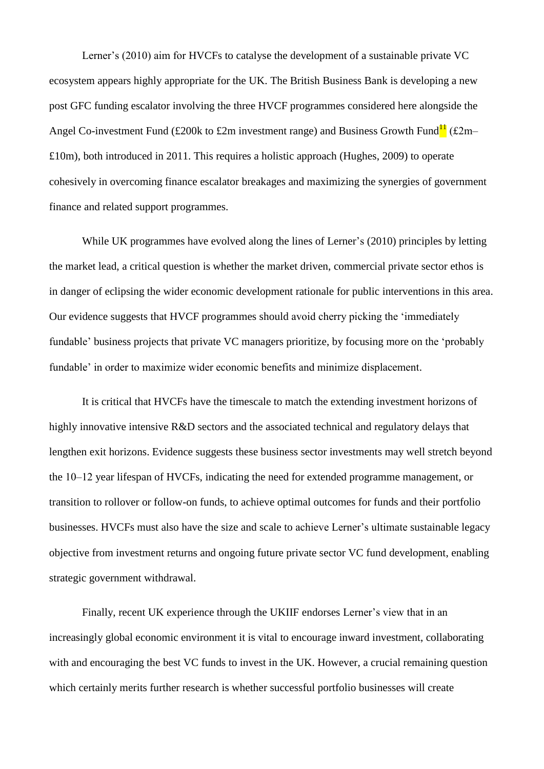Lerner's (2010) aim for HVCFs to catalyse the development of a sustainable private VC ecosystem appears highly appropriate for the UK. The British Business Bank is developing a new post GFC funding escalator involving the three HVCF programmes considered here alongside the Angel Co-investment Fund (£200k to £2m investment range) and Business Growth Fund<sup>11</sup> (£2m–  $£10m$ , both introduced in 2011. This requires a holistic approach (Hughes, 2009) to operate cohesively in overcoming finance escalator breakages and maximizing the synergies of government finance and related support programmes.

While UK programmes have evolved along the lines of Lerner's (2010) principles by letting the market lead, a critical question is whether the market driven, commercial private sector ethos is in danger of eclipsing the wider economic development rationale for public interventions in this area. Our evidence suggests that HVCF programmes should avoid cherry picking the 'immediately fundable' business projects that private VC managers prioritize, by focusing more on the 'probably fundable' in order to maximize wider economic benefits and minimize displacement.

It is critical that HVCFs have the timescale to match the extending investment horizons of highly innovative intensive R&D sectors and the associated technical and regulatory delays that lengthen exit horizons. Evidence suggests these business sector investments may well stretch beyond the 10–12 year lifespan of HVCFs, indicating the need for extended programme management, or transition to rollover or follow-on funds, to achieve optimal outcomes for funds and their portfolio businesses. HVCFs must also have the size and scale to achieve Lerner's ultimate sustainable legacy objective from investment returns and ongoing future private sector VC fund development, enabling strategic government withdrawal.

Finally, recent UK experience through the UKIIF endorses Lerner's view that in an increasingly global economic environment it is vital to encourage inward investment, collaborating with and encouraging the best VC funds to invest in the UK. However, a crucial remaining question which certainly merits further research is whether successful portfolio businesses will create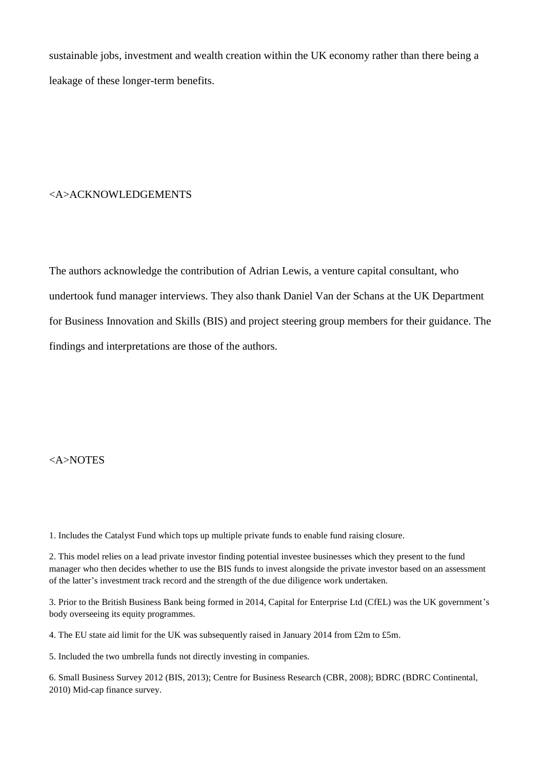sustainable jobs, investment and wealth creation within the UK economy rather than there being a leakage of these longer-term benefits.

## <A>ACKNOWLEDGEMENTS

The authors acknowledge the contribution of Adrian Lewis, a venture capital consultant, who undertook fund manager interviews. They also thank Daniel Van der Schans at the UK Department for Business Innovation and Skills (BIS) and project steering group members for their guidance. The findings and interpretations are those of the authors.

## <A>NOTES

1. Includes the Catalyst Fund which tops up multiple private funds to enable fund raising closure.

2. This model relies on a lead private investor finding potential investee businesses which they present to the fund manager who then decides whether to use the BIS funds to invest alongside the private investor based on an assessment of the latter's investment track record and the strength of the due diligence work undertaken.

3. Prior to the British Business Bank being formed in 2014, Capital for Enterprise Ltd (CfEL) was the UK government's body overseeing its equity programmes.

4. The EU state aid limit for the UK was subsequently raised in January 2014 from £2m to £5m.

5. Included the two umbrella funds not directly investing in companies.

6. Small Business Survey 2012 (BIS, 2013); Centre for Business Research (CBR, 2008); BDRC (BDRC Continental, 2010) Mid-cap finance survey.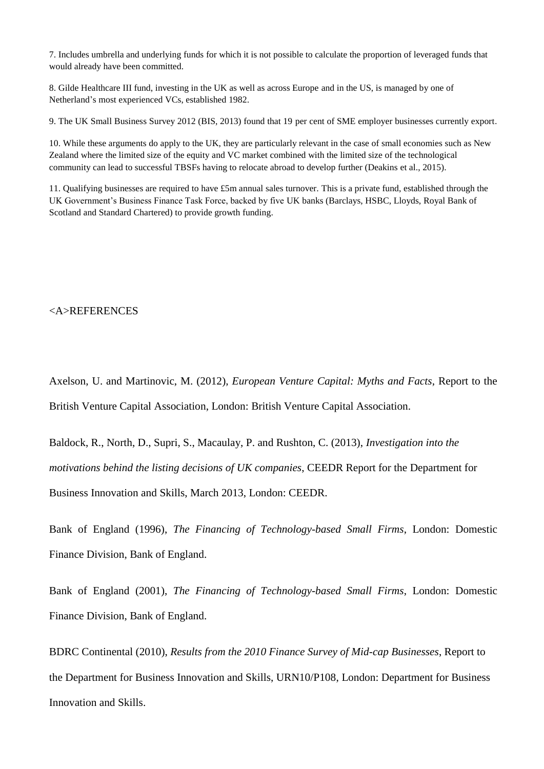7. Includes umbrella and underlying funds for which it is not possible to calculate the proportion of leveraged funds that would already have been committed.

8. Gilde Healthcare III fund, investing in the UK as well as across Europe and in the US, is managed by one of Netherland's most experienced VCs, established 1982.

9. The UK Small Business Survey 2012 (BIS, 2013) found that 19 per cent of SME employer businesses currently export.

10. While these arguments do apply to the UK, they are particularly relevant in the case of small economies such as New Zealand where the limited size of the equity and VC market combined with the limited size of the technological community can lead to successful TBSFs having to relocate abroad to develop further (Deakins et al., 2015).

11. Qualifying businesses are required to have £5m annual sales turnover. This is a private fund, established through the UK Government's Business Finance Task Force, backed by five UK banks (Barclays, HSBC, Lloyds, Royal Bank of Scotland and Standard Chartered) to provide growth funding.

## <A>REFERENCES

Axelson, U. and Martinovic, M. (2012), *European Venture Capital: Myths and Facts*, Report to the British Venture Capital Association, London: British Venture Capital Association.

Baldock, R., North, D., Supri, S., Macaulay, P. and Rushton, C. (2013), *Investigation into the motivations behind the listing decisions of UK companies*, CEEDR Report for the Department for Business Innovation and Skills, March 2013, London: CEEDR.

Bank of England (1996), *The Financing of Technology-based Small Firms*, London: Domestic Finance Division, Bank of England.

Bank of England (2001), *The Financing of Technology-based Small Firms*, London: Domestic Finance Division, Bank of England.

BDRC Continental (2010), *Results from the 2010 Finance Survey of Mid-cap Businesses*, Report to the Department for Business Innovation and Skills, URN10/P108, London: Department for Business Innovation and Skills.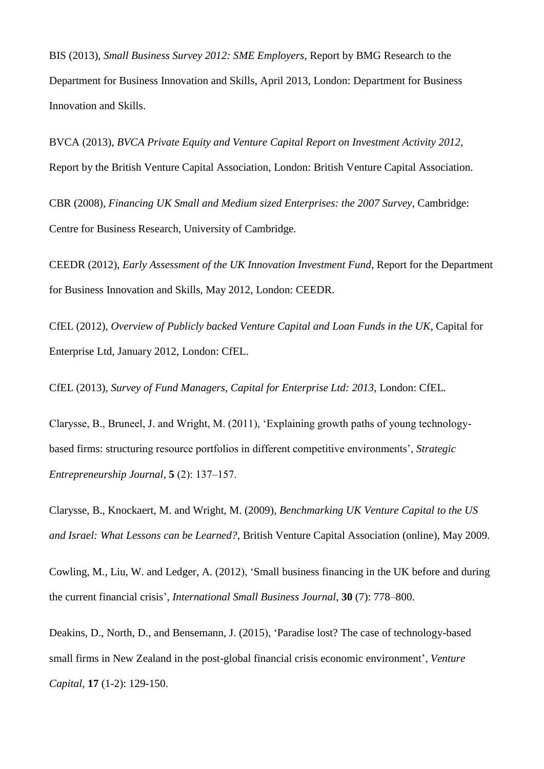BIS (2013), *Small Business Survey 2012: SME Employers*, Report by BMG Research to the Department for Business Innovation and Skills, April 2013, London: Department for Business Innovation and Skills.

BVCA (2013), *BVCA Private Equity and Venture Capital Report on Investment Activity 2012*, Report by the British Venture Capital Association, London: British Venture Capital Association.

CBR (2008), *Financing UK Small and Medium sized Enterprises: the 2007 Survey*, Cambridge: Centre for Business Research, University of Cambridge.

CEEDR (2012), *Early Assessment of the UK Innovation Investment Fund*, Report for the Department for Business Innovation and Skills, May 2012, London: CEEDR.

CfEL (2012), *Overview of Publicly backed Venture Capital and Loan Funds in the UK*, Capital for Enterprise Ltd, January 2012, London: CfEL.

CfEL (2013), *Survey of Fund Managers, Capital for Enterprise Ltd: 2013*, London: CfEL*.*

Clarysse, B., Bruneel, J. and Wright, M. (2011), 'Explaining growth paths of young technologybased firms: structuring resource portfolios in different competitive environments', *Strategic Entrepreneurship Journal*, **5** (2): 137‒157.

Clarysse, B., Knockaert, M. and Wright, M. (2009), *Benchmarking UK Venture Capital to the US and Israel: What Lessons can be Learned?*, British Venture Capital Association (online), May 2009.

Cowling, M., Liu, W. and Ledger, A. (2012), 'Small business financing in the UK before and during the current financial crisis', *International Small Business Journal*, **30** (7): 778‒800.

Deakins, D., North, D., and Bensemann, J. (2015), 'Paradise lost? The case of technology-based small firms in New Zealand in the post-global financial crisis economic environment', *Venture Capital*, **17** (1-2): 129-150.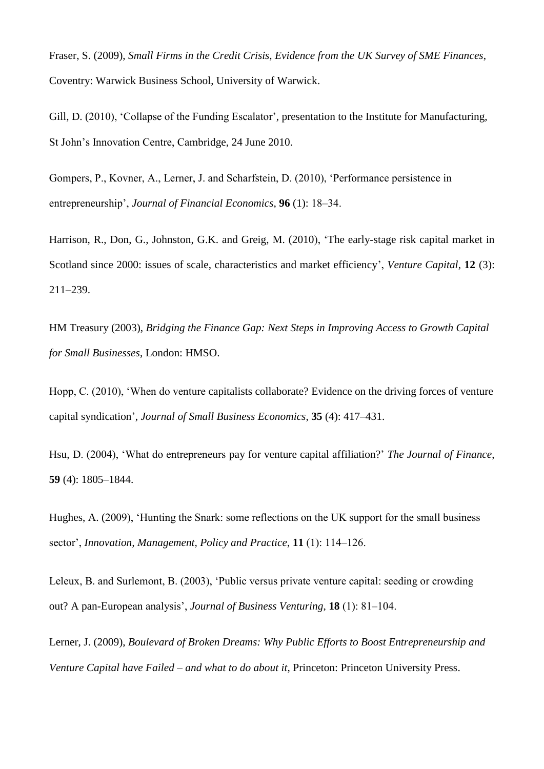Fraser, S. (2009), *Small Firms in the Credit Crisis, Evidence from the UK Survey of SME Finances*, Coventry: Warwick Business School, University of Warwick.

Gill, D. (2010), 'Collapse of the Funding Escalator'*,* presentation to the Institute for Manufacturing, St John's Innovation Centre, Cambridge, 24 June 2010.

Gompers, P., Kovner, A., Lerner, J. and Scharfstein, D. (2010), 'Performance persistence in entrepreneurship', *Journal of Financial Economics*, **96** (1): 18‒34.

Harrison, R., Don, G., Johnston, G.K. and Greig, M. (2010), 'The early-stage risk capital market in Scotland since 2000: issues of scale, characteristics and market efficiency', *Venture Capital*, **12** (3): 211‒239.

HM Treasury (2003), *Bridging the Finance Gap: Next Steps in Improving Access to Growth Capital for Small Businesses*, London: HMSO.

Hopp, C. (2010), 'When do venture capitalists collaborate? Evidence on the driving forces of venture capital syndication', *Journal of Small Business Economics*, **35** (4): 417‒431.

Hsu, D. (2004), 'What do entrepreneurs pay for venture capital affiliation?' *The Journal of Finance*, **59** (4): 1805‒1844.

Hughes, A. (2009), 'Hunting the Snark: some reflections on the UK support for the small business sector', *Innovation, Management, Policy and Practice*, **11** (1): 114–126.

Leleux, B. and Surlemont, B. (2003), 'Public versus private venture capital: seeding or crowding out? A pan-European analysis', *Journal of Business Venturing*, **18** (1): 81–104.

Lerner, J. (2009), *Boulevard of Broken Dreams: Why Public Efforts to Boost Entrepreneurship and Venture Capital have Failed – and what to do about it*, Princeton: Princeton University Press.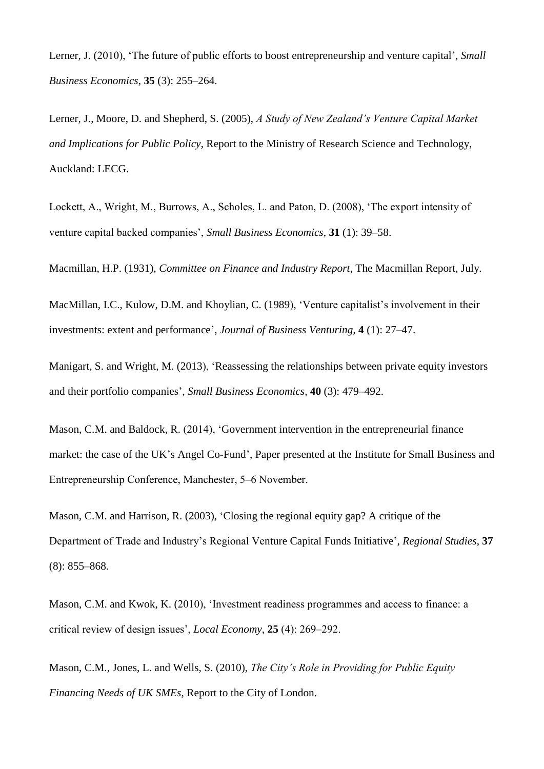Lerner, J. (2010), 'The future of public efforts to boost entrepreneurship and venture capital', *Small Business Economics*, **35** (3): 255–264.

Lerner, J., Moore, D. and Shepherd, S. (2005), *A Study of New Zealand's Venture Capital Market and Implications for Public Policy*, Report to the Ministry of Research Science and Technology, Auckland: LECG.

Lockett, A., Wright, M., Burrows, A., Scholes, L. and Paton, D. (2008), 'The export intensity of venture capital backed companies', *Small Business Economics*, **31** (1): 39–58.

Macmillan, H.P. (1931), *Committee on Finance and Industry Report*, The Macmillan Report, July.

MacMillan, I.C., Kulow, D.M. and Khoylian, C. (1989), 'Venture capitalist's involvement in their investments: extent and performance', *Journal of Business Venturing*, **4** (1): 27–47.

Manigart, S. and Wright, M. (2013), 'Reassessing the relationships between private equity investors and their portfolio companies', *Small Business Economics*, **40** (3): 479–492.

Mason, C.M. and Baldock, R. (2014), 'Government intervention in the entrepreneurial finance market: the case of the UK's Angel Co-Fund', Paper presented at the Institute for Small Business and Entrepreneurship Conference, Manchester, 5–6 November.

Mason, C.M. and Harrison, R. (2003), 'Closing the regional equity gap? A critique of the Department of Trade and Industry's Regional Venture Capital Funds Initiative', *Regional Studies*, **37**  $(8): 855 - 868.$ 

Mason, C.M. and Kwok, K. (2010), 'Investment readiness programmes and access to finance: a critical review of design issues', *Local Economy*, 25 (4): 269–292.

Mason, C.M., Jones, L. and Wells, S. (2010), *The City's Role in Providing for Public Equity Financing Needs of UK SMEs*, Report to the City of London.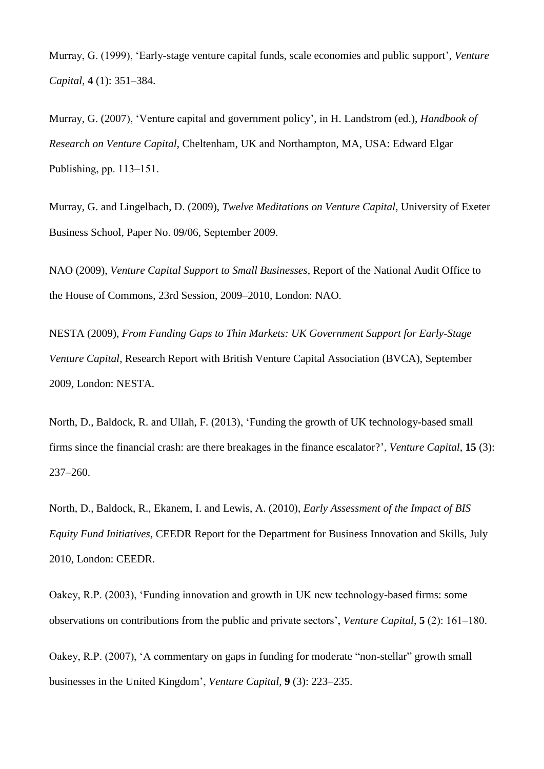Murray, G. (1999), 'Early-stage venture capital funds, scale economies and public support', *Venture Capital*, **4** (1): 351‒384.

Murray, G. (2007), 'Venture capital and government policy', in H. Landstrom (ed.), *Handbook of Research on Venture Capital*, Cheltenham, UK and Northampton, MA, USA: Edward Elgar Publishing, pp.  $113-151$ .

Murray, G. and Lingelbach, D. (2009), *Twelve Meditations on Venture Capital*, University of Exeter Business School, Paper No. 09/06, September 2009.

NAO (2009), *Venture Capital Support to Small Businesses*, Report of the National Audit Office to the House of Commons, 23rd Session, 2009–2010, London: NAO.

NESTA (2009), *From Funding Gaps to Thin Markets: UK Government Support for Early-Stage Venture Capital*, Research Report with British Venture Capital Association (BVCA), September 2009, London: NESTA.

North, D., Baldock, R. and Ullah, F. (2013), 'Funding the growth of UK technology-based small firms since the financial crash: are there breakages in the finance escalator?', *Venture Capital*, **15** (3): 237‒260.

North, D., Baldock, R., Ekanem, I. and Lewis, A. (2010), *Early Assessment of the Impact of BIS Equity Fund Initiatives*, CEEDR Report for the Department for Business Innovation and Skills, July 2010, London: CEEDR.

Oakey, R.P. (2003), 'Funding innovation and growth in UK new technology-based firms: some observations on contributions from the public and private sectors', *Venture Capital*, **5** (2): 161‒180.

Oakey, R.P. (2007), 'A commentary on gaps in funding for moderate "non-stellar" growth small businesses in the United Kingdom', *Venture Capital*, **9** (3): 223–235.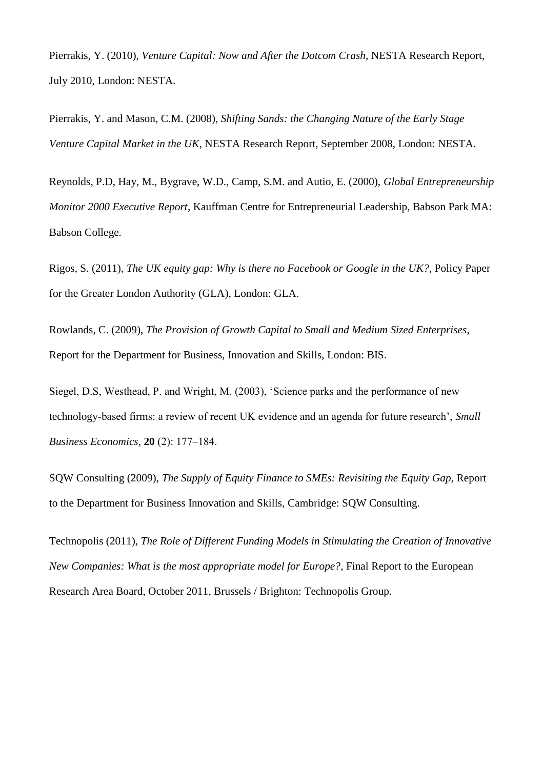Pierrakis, Y. (2010), *Venture Capital: Now and After the Dotcom Crash*, NESTA Research Report, July 2010, London: NESTA.

Pierrakis, Y. and Mason, C.M. (2008), *Shifting Sands: the Changing Nature of the Early Stage Venture Capital Market in the UK*, NESTA Research Report, September 2008, London: NESTA.

Reynolds, P.D, Hay, M., Bygrave, W.D., Camp, S.M. and Autio, E. (2000), *Global Entrepreneurship Monitor 2000 Executive Report*, Kauffman Centre for Entrepreneurial Leadership, Babson Park MA: Babson College.

Rigos, S. (2011), *The UK equity gap: Why is there no Facebook or Google in the UK?*, Policy Paper for the Greater London Authority (GLA), London: GLA.

Rowlands, C. (2009), *The Provision of Growth Capital to Small and Medium Sized Enterprises*, Report for the Department for Business, Innovation and Skills, London: BIS.

Siegel, D.S, Westhead, P. and Wright, M. (2003), 'Science parks and the performance of new technology-based firms: a review of recent UK evidence and an agenda for future research', *Small Business Economics*, **20** (2): 177‒184.

SQW Consulting (2009), *The Supply of Equity Finance to SMEs: Revisiting the Equity Gap*, Report to the Department for Business Innovation and Skills, Cambridge: SQW Consulting.

Technopolis (2011), *The Role of Different Funding Models in Stimulating the Creation of Innovative New Companies: What is the most appropriate model for Europe?*, Final Report to the European Research Area Board, October 2011, Brussels / Brighton: Technopolis Group.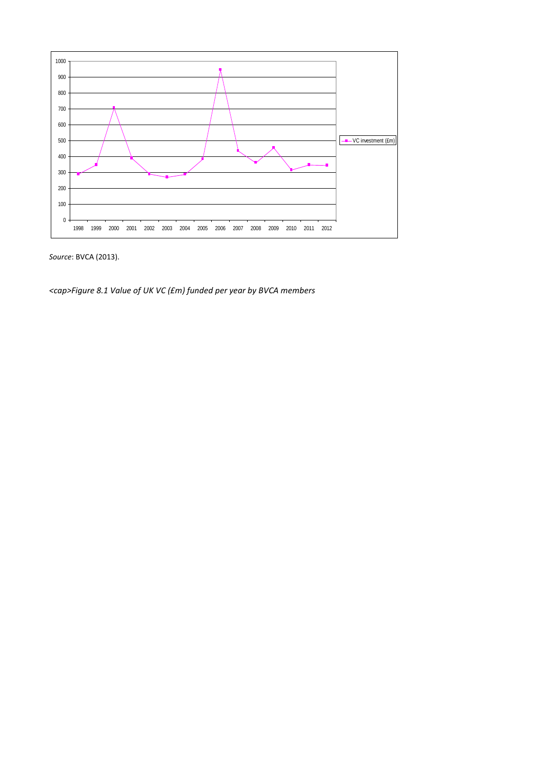

*Source*: BVCA (2013).

*<cap>Figure 8.1 Value of UK VC (£m) funded per year by BVCA members*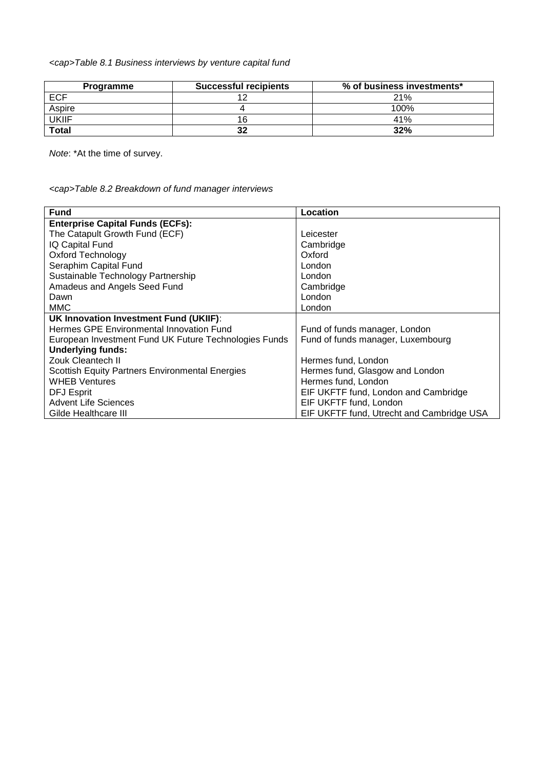*<cap>Table 8.1 Business interviews by venture capital fund*

| Programme    | <b>Successful recipients</b> | % of business investments* |
|--------------|------------------------------|----------------------------|
| ECF          |                              | 21%                        |
| Aspire       |                              | 100%                       |
| <b>UKIIF</b> | 16                           | 41%                        |
| Total        | 32                           | 32%                        |

*Note*: \*At the time of survey.

*<cap>Table 8.2 Breakdown of fund manager interviews*

| <b>Fund</b>                                            | Location                                  |  |  |
|--------------------------------------------------------|-------------------------------------------|--|--|
| <b>Enterprise Capital Funds (ECFs):</b>                |                                           |  |  |
| The Catapult Growth Fund (ECF)                         | Leicester                                 |  |  |
| IQ Capital Fund                                        | Cambridge                                 |  |  |
| <b>Oxford Technology</b>                               | Oxford                                    |  |  |
| Seraphim Capital Fund                                  | London                                    |  |  |
| Sustainable Technology Partnership                     | London                                    |  |  |
| Amadeus and Angels Seed Fund                           | Cambridge                                 |  |  |
| Dawn                                                   | London                                    |  |  |
| <b>MMC</b>                                             | London                                    |  |  |
| <b>UK Innovation Investment Fund (UKIIF):</b>          |                                           |  |  |
| Hermes GPE Environmental Innovation Fund               | Fund of funds manager, London             |  |  |
| European Investment Fund UK Future Technologies Funds  | Fund of funds manager, Luxembourg         |  |  |
| <b>Underlying funds:</b>                               |                                           |  |  |
| <b>Zouk Cleantech II</b>                               | Hermes fund, London                       |  |  |
| <b>Scottish Equity Partners Environmental Energies</b> | Hermes fund, Glasgow and London           |  |  |
| <b>WHEB Ventures</b>                                   | Hermes fund, London                       |  |  |
| <b>DFJ Esprit</b>                                      | EIF UKFTF fund, London and Cambridge      |  |  |
| <b>Advent Life Sciences</b>                            | EIF UKFTF fund, London                    |  |  |
| Gilde Healthcare III                                   | EIF UKFTF fund, Utrecht and Cambridge USA |  |  |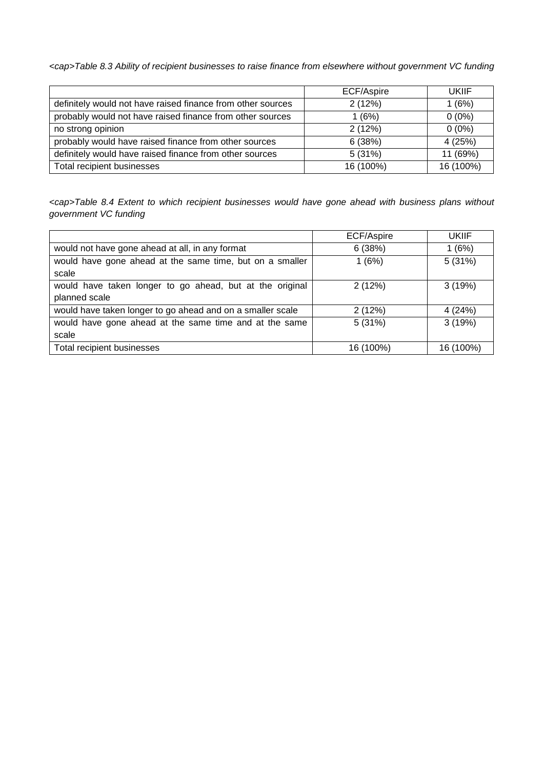*<cap>Table 8.3 Ability of recipient businesses to raise finance from elsewhere without government VC funding*

|                                                             | ECF/Aspire | UKIIF     |
|-------------------------------------------------------------|------------|-----------|
| definitely would not have raised finance from other sources | 2(12%)     | 1(6%)     |
| probably would not have raised finance from other sources   | 1(6%)      | $0(0\%)$  |
| no strong opinion                                           | 2(12%)     | $0(0\%)$  |
| probably would have raised finance from other sources       | 6(38%)     | 4(25%)    |
| definitely would have raised finance from other sources     | 5(31%)     | 11 (69%)  |
| Total recipient businesses                                  | 16 (100%)  | 16 (100%) |

*<cap>Table 8.4 Extent to which recipient businesses would have gone ahead with business plans without government VC funding*

|                                                            | ECF/Aspire | <b>UKIIF</b> |
|------------------------------------------------------------|------------|--------------|
| would not have gone ahead at all, in any format            | 6(38%)     | 1(6%)        |
| would have gone ahead at the same time, but on a smaller   | 1(6%)      | 5(31%)       |
| scale                                                      |            |              |
| would have taken longer to go ahead, but at the original   | 2(12%)     | 3(19%)       |
| planned scale                                              |            |              |
| would have taken longer to go ahead and on a smaller scale | 2(12%)     | 4 (24%)      |
| would have gone ahead at the same time and at the same     | 5(31%)     | 3(19%)       |
| scale                                                      |            |              |
| Total recipient businesses                                 | 16 (100%)  | 16 (100%)    |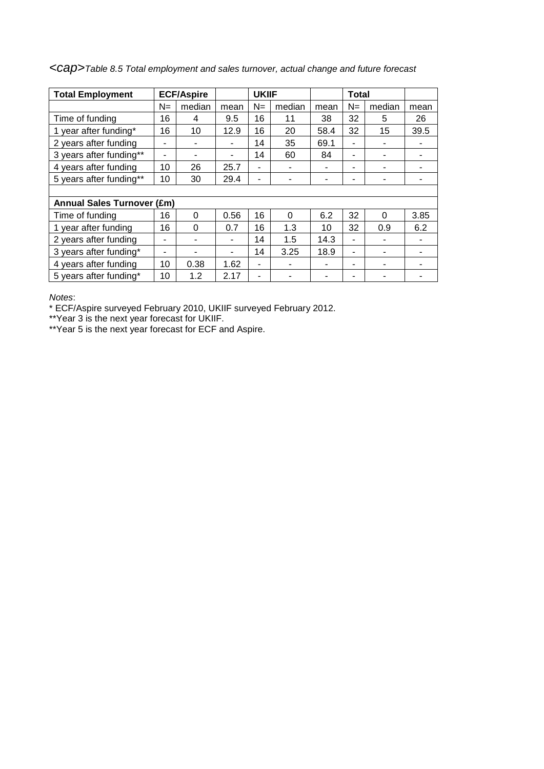| <b>Total Employment</b>      |                | <b>ECF/Aspire</b> |      | <b>UKIIF</b> |          |      | <b>Total</b> |          |      |
|------------------------------|----------------|-------------------|------|--------------|----------|------|--------------|----------|------|
|                              | $N =$          | median            | mean | $N =$        | median   | mean | $N =$        | median   | mean |
| Time of funding              | 16             | 4                 | 9.5  | 16           | 11       | 38   | 32           | 5        | 26   |
| 1 year after funding*        | 16             | 10                | 12.9 | 16           | 20       | 58.4 | 32           | 15       | 39.5 |
| 2 years after funding        |                |                   |      | 14           | 35       | 69.1 | ۰            |          |      |
| 3 years after funding**      | $\blacksquare$ |                   |      | 14           | 60       | 84   | ۰            |          |      |
| 4 years after funding        | 10             | 26                | 25.7 | ۰            | ۰        | ۰    | ۰            | ۰        |      |
| 5 years after funding**      | 10             | 30                | 29.4 | ٠            | ۰        | ۰    | ۰            | ۰        |      |
|                              |                |                   |      |              |          |      |              |          |      |
| <b>Annual Sales Turnover</b> | $(\text{Em})$  |                   |      |              |          |      |              |          |      |
| Time of funding              | 16             | $\Omega$          | 0.56 | 16           | $\Omega$ | 6.2  | 32           | $\Omega$ | 3.85 |
| 1 year after funding         | 16             | 0                 | 0.7  | 16           | 1.3      | 10   | 32           | 0.9      | 6.2  |
| 2 years after funding        | $\blacksquare$ |                   |      | 14           | 1.5      | 14.3 | ۰            |          |      |
| 3 years after funding*       | ۰              |                   | ۰    | 14           | 3.25     | 18.9 | ۰            | ٠        |      |
| 4 years after funding        | 10             | 0.38              | 1.62 | ۰            |          | ۰    | ۰            | ۰        |      |
| 5 years after funding*       | 10             | 1.2               | 2.17 | ۰            |          |      | ۰            |          |      |

*<cap>Table 8.5 Total employment and sales turnover, actual change and future forecast*

*Notes*:

\* ECF/Aspire surveyed February 2010, UKIIF surveyed February 2012.

\*\*Year 3 is the next year forecast for UKIIF.

\*\*Year 5 is the next year forecast for ECF and Aspire.